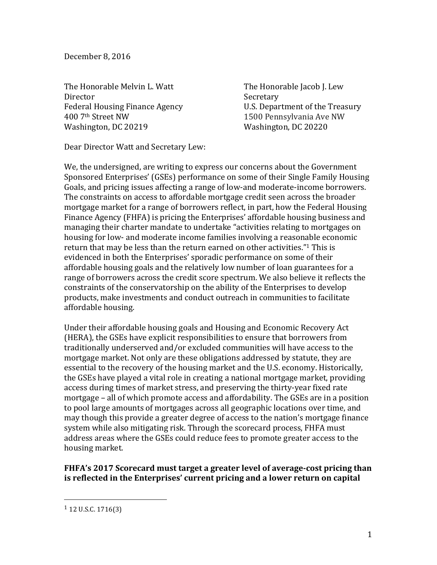December 8, 2016

The Honorable Melvin L. Watt The Honorable Jacob J. Lew Director Secretary 400 7<sup>th</sup> Street NW 1500 Pennsylvania Ave NW Washington, DC 20219 Washington, DC 20220

Federal Housing Finance Agency U.S. Department of the Treasury

Dear Director Watt and Secretary Lew:

We, the undersigned, are writing to express our concerns about the Government Sponsored Enterprises' (GSEs) performance on some of their Single Family Housing Goals, and pricing issues affecting a range of low-and moderate-income borrowers. The constraints on access to affordable mortgage credit seen across the broader mortgage market for a range of borrowers reflect, in part, how the Federal Housing Finance Agency (FHFA) is pricing the Enterprises' affordable housing business and managing their charter mandate to undertake "activities relating to mortgages on housing for low- and moderate income families involving a reasonable economic return that may be less than the return earned on other activities."<sup>1</sup> This is evidenced in both the Enterprises' sporadic performance on some of their affordable housing goals and the relatively low number of loan guarantees for a range of borrowers across the credit score spectrum. We also believe it reflects the constraints of the conservatorship on the ability of the Enterprises to develop products, make investments and conduct outreach in communities to facilitate affordable housing.

Under their affordable housing goals and Housing and Economic Recovery Act (HERA), the GSEs have explicit responsibilities to ensure that borrowers from traditionally underserved and/or excluded communities will have access to the mortgage market. Not only are these obligations addressed by statute, they are essential to the recovery of the housing market and the U.S. economy. Historically, the GSEs have played a vital role in creating a national mortgage market, providing access during times of market stress, and preserving the thirty-year fixed rate mortgage – all of which promote access and affordability. The GSEs are in a position to pool large amounts of mortgages across all geographic locations over time, and may though this provide a greater degree of access to the nation's mortgage finance system while also mitigating risk. Through the scorecard process, FHFA must address areas where the GSEs could reduce fees to promote greater access to the housing market.

**FHFA's 2017 Scorecard must target a greater level of average-cost pricing than is reflected in the Enterprises' current pricing and a lower return on capital** 

 

 $1$  12 U.S.C. 1716(3)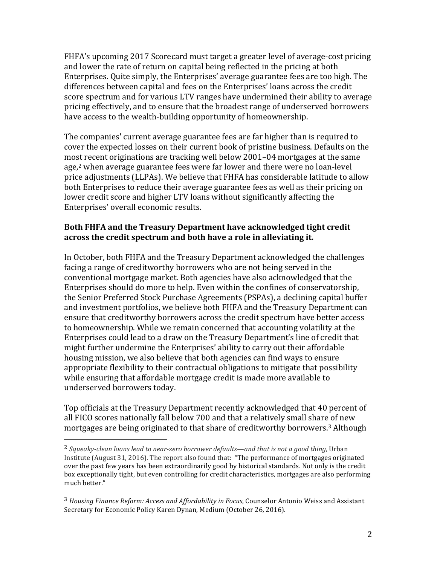FHFA's upcoming 2017 Scorecard must target a greater level of average-cost pricing and lower the rate of return on capital being reflected in the pricing at both Enterprises. Ouite simply, the Enterprises' average guarantee fees are too high. The differences between capital and fees on the Enterprises' loans across the credit score spectrum and for various LTV ranges have undermined their ability to average pricing effectively, and to ensure that the broadest range of underserved borrowers have access to the wealth-building opportunity of homeownership.

The companies' current average guarantee fees are far higher than is required to cover the expected losses on their current book of pristine business. Defaults on the most recent originations are tracking well below 2001–04 mortgages at the same age,<sup>2</sup> when average guarantee fees were far lower and there were no loan-level price adjustments (LLPAs). We believe that FHFA has considerable latitude to allow both Enterprises to reduce their average guarantee fees as well as their pricing on lower credit score and higher LTV loans without significantly affecting the Enterprises' overall economic results.

## **Both FHFA and the Treasury Department have acknowledged tight credit** across the credit spectrum and both have a role in alleviating it.

In October, both FHFA and the Treasury Department acknowledged the challenges facing a range of creditworthy borrowers who are not being served in the conventional mortgage market. Both agencies have also acknowledged that the Enterprises should do more to help. Even within the confines of conservatorship, the Senior Preferred Stock Purchase Agreements (PSPAs), a declining capital buffer and investment portfolios, we believe both FHFA and the Treasury Department can ensure that creditworthy borrowers across the credit spectrum have better access to homeownership. While we remain concerned that accounting volatility at the Enterprises could lead to a draw on the Treasury Department's line of credit that might further undermine the Enterprises' ability to carry out their affordable housing mission, we also believe that both agencies can find ways to ensure appropriate flexibility to their contractual obligations to mitigate that possibility while ensuring that affordable mortgage credit is made more available to underserved borrowers today.

Top officials at the Treasury Department recently acknowledged that 40 percent of all FICO scores nationally fall below 700 and that a relatively small share of new mortgages are being originated to that share of creditworthy borrowers.<sup>3</sup> Although

 

<sup>&</sup>lt;sup>2</sup> Squeaky-clean loans lead to near-zero borrower defaults—and that is not a good thing, Urban Institute (August  $31, 2016$ ). The report also found that: "The performance of mortgages originated over the past few years has been extraordinarily good by historical standards. Not only is the credit box exceptionally tight, but even controlling for credit characteristics, mortgages are also performing much better."

<sup>&</sup>lt;sup>3</sup> Housing Finance Reform: Access and Affordability in Focus, Counselor Antonio Weiss and Assistant Secretary for Economic Policy Karen Dynan, Medium (October 26, 2016).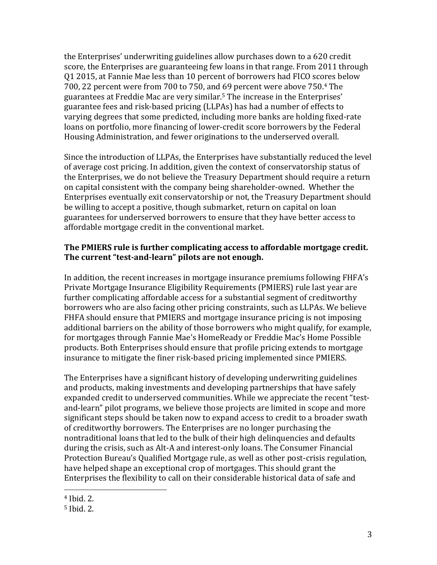the Enterprises' underwriting guidelines allow purchases down to a 620 credit score, the Enterprises are guaranteeing few loans in that range. From 2011 through Q1 2015, at Fannie Mae less than 10 percent of borrowers had FICO scores below 700. 22 percent were from 700 to 750, and 69 percent were above 750.<sup>4</sup> The guarantees at Freddie Mac are very similar.<sup>5</sup> The increase in the Enterprises' guarantee fees and risk-based pricing (LLPAs) has had a number of effects to varying degrees that some predicted, including more banks are holding fixed-rate loans on portfolio, more financing of lower-credit score borrowers by the Federal Housing Administration, and fewer originations to the underserved overall.

Since the introduction of LLPAs, the Enterprises have substantially reduced the level of average cost pricing. In addition, given the context of conservatorship status of the Enterprises, we do not believe the Treasury Department should require a return on capital consistent with the company being shareholder-owned. Whether the Enterprises eventually exit conservatorship or not, the Treasury Department should be willing to accept a positive, though submarket, return on capital on loan guarantees for underserved borrowers to ensure that they have better access to affordable mortgage credit in the conventional market.

## The PMIERS rule is further complicating access to affordable mortgage credit. **The current "test-and-learn" pilots are not enough.**

In addition, the recent increases in mortgage insurance premiums following FHFA's Private Mortgage Insurance Eligibility Requirements (PMIERS) rule last vear are further complicating affordable access for a substantial segment of creditworthy borrowers who are also facing other pricing constraints, such as LLPAs. We believe FHFA should ensure that PMIERS and mortgage insurance pricing is not imposing additional barriers on the ability of those borrowers who might qualify, for example, for mortgages through Fannie Mae's HomeReady or Freddie Mac's Home Possible products. Both Enterprises should ensure that profile pricing extends to mortgage insurance to mitigate the finer risk-based pricing implemented since PMIERS.

The Enterprises have a significant history of developing underwriting guidelines and products, making investments and developing partnerships that have safely expanded credit to underserved communities. While we appreciate the recent "testand-learn" pilot programs, we believe those projects are limited in scope and more significant steps should be taken now to expand access to credit to a broader swath of creditworthy borrowers. The Enterprises are no longer purchasing the nontraditional loans that led to the bulk of their high delinquencies and defaults during the crisis, such as Alt-A and interest-only loans. The Consumer Financial Protection Bureau's Qualified Mortgage rule, as well as other post-crisis regulation, have helped shape an exceptional crop of mortgages. This should grant the Enterprises the flexibility to call on their considerable historical data of safe and

 

 $4$  Ibid. 2.

 $5$  Ibid. 2.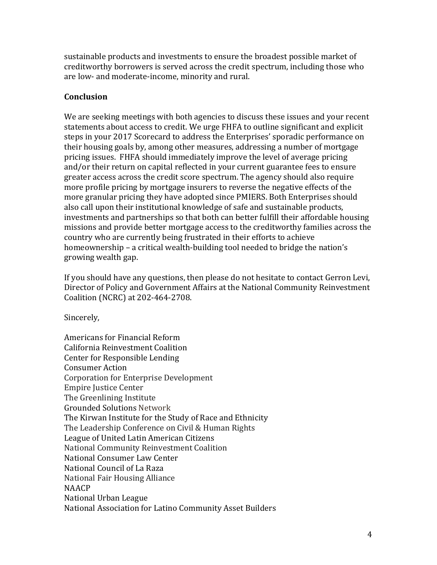sustainable products and investments to ensure the broadest possible market of creditworthy borrowers is served across the credit spectrum, including those who are low- and moderate-income, minority and rural.

## **Conclusion**

We are seeking meetings with both agencies to discuss these issues and your recent statements about access to credit. We urge FHFA to outline significant and explicit steps in your 2017 Scorecard to address the Enterprises' sporadic performance on their housing goals by, among other measures, addressing a number of mortgage pricing issues. FHFA should immediately improve the level of average pricing and/or their return on capital reflected in your current guarantee fees to ensure greater access across the credit score spectrum. The agency should also require more profile pricing by mortgage insurers to reverse the negative effects of the more granular pricing they have adopted since PMIERS. Both Enterprises should also call upon their institutional knowledge of safe and sustainable products, investments and partnerships so that both can better fulfill their affordable housing missions and provide better mortgage access to the creditworthy families across the country who are currently being frustrated in their efforts to achieve homeownership – a critical wealth-building tool needed to bridge the nation's growing wealth gap.

If you should have any questions, then please do not hesitate to contact Gerron Levi, Director of Policy and Government Affairs at the National Community Reinvestment Coalition (NCRC) at 202-464-2708.

Sincerely,

Americans for Financial Reform California Reinvestment Coalition Center for Responsible Lending Consumer Action Corporation for Enterprise Development Empire Justice Center The Greenlining Institute Grounded Solutions Network The Kirwan Institute for the Study of Race and Ethnicity The Leadership Conference on Civil & Human Rights League of United Latin American Citizens National Community Reinvestment Coalition National Consumer Law Center National Council of La Raza National Fair Housing Alliance NAACP National Urban League National Association for Latino Community Asset Builders